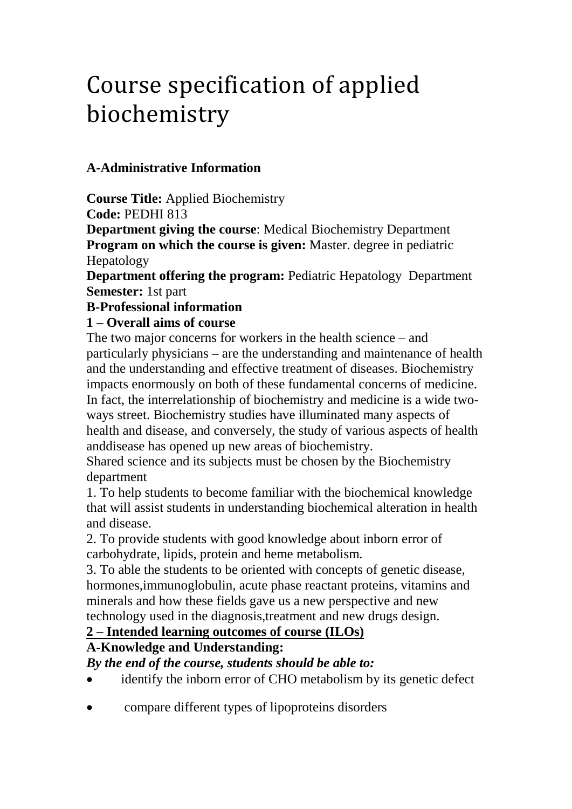# Course specification of applied biochemistry

# **A-Administrative Information**

**Course Title:** Applied Biochemistry **Code:** PEDHI 813

**Department giving the course**: Medical Biochemistry Department **Program on which the course is given:** Master. degree in pediatric Hepatology

**Department offering the program: Pediatric Hepatology Department Semester:** 1st part

## **B-Professional information**

## **1 – Overall aims of course**

The two major concerns for workers in the health science – and particularly physicians – are the understanding and maintenance of health and the understanding and effective treatment of diseases. Biochemistry impacts enormously on both of these fundamental concerns of medicine. In fact, the interrelationship of biochemistry and medicine is a wide twoways street. Biochemistry studies have illuminated many aspects of health and disease, and conversely, the study of various aspects of health anddisease has opened up new areas of biochemistry.

Shared science and its subjects must be chosen by the Biochemistry department

1. To help students to become familiar with the biochemical knowledge that will assist students in understanding biochemical alteration in health and disease.

2. To provide students with good knowledge about inborn error of carbohydrate, lipids, protein and heme metabolism.

3. To able the students to be oriented with concepts of genetic disease, hormones,immunoglobulin, acute phase reactant proteins, vitamins and minerals and how these fields gave us a new perspective and new technology used in the diagnosis,treatment and new drugs design.

## **2 – Intended learning outcomes of course (ILOs)**

# **A-Knowledge and Understanding:**

*By the end of the course, students should be able to:*

- identify the inborn error of CHO metabolism by its genetic defect
- compare different types of lipoproteins disorders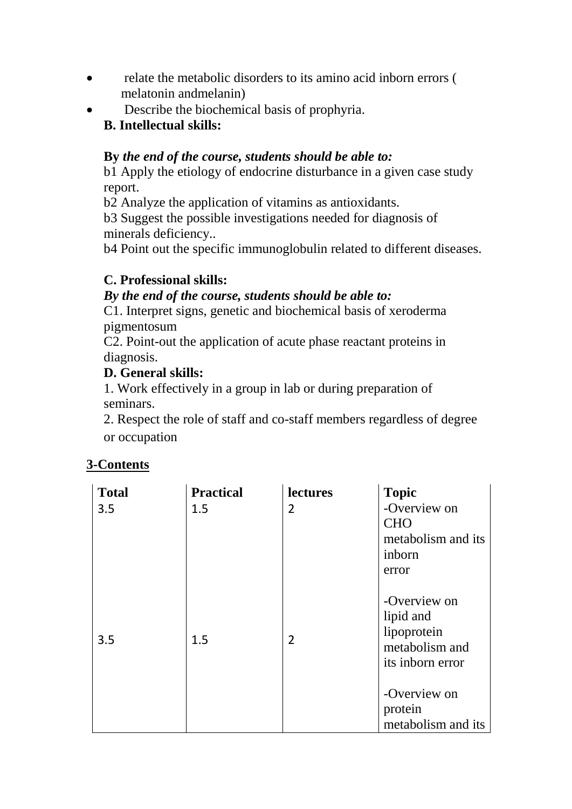- relate the metabolic disorders to its amino acid inborn errors ( melatonin andmelanin)
- Describe the biochemical basis of prophyria. **B. Intellectual skills:**

## **By** *the end of the course, students should be able to:*

b1 Apply the etiology of endocrine disturbance in a given case study report.

b2 Analyze the application of vitamins as antioxidants.

b3 Suggest the possible investigations needed for diagnosis of minerals deficiency..

b4 Point out the specific immunoglobulin related to different diseases.

# **C. Professional skills:**

## *By the end of the course, students should be able to:*

C1. Interpret signs, genetic and biochemical basis of xeroderma pigmentosum

C2. Point-out the application of acute phase reactant proteins in diagnosis.

## **D. General skills:**

1. Work effectively in a group in lab or during preparation of seminars.

2. Respect the role of staff and co-staff members regardless of degree or occupation

## **3-Contents**

| <b>Total</b> | <b>Practical</b> | lectures       | <b>Topic</b>                                                                            |
|--------------|------------------|----------------|-----------------------------------------------------------------------------------------|
| 3.5          | 1.5              | 2              | -Overview on<br><b>CHO</b><br>metabolism and its<br>inborn                              |
| 3.5          | 1.5              | $\overline{2}$ | error<br>-Overview on<br>lipid and<br>lipoprotein<br>metabolism and<br>its inborn error |
|              |                  |                | -Overview on<br>protein<br>metabolism and its                                           |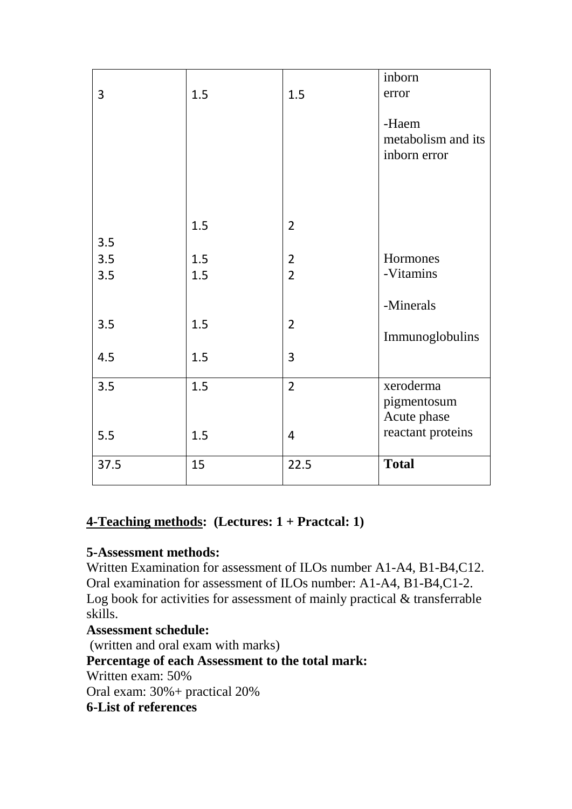| 3    | 1.5 | 1.5            | inborn<br>error                             |
|------|-----|----------------|---------------------------------------------|
|      |     |                | -Haem<br>metabolism and its<br>inborn error |
| 3.5  | 1.5 | $\overline{2}$ |                                             |
| 3.5  | 1.5 | $\overline{2}$ | Hormones                                    |
| 3.5  | 1.5 | $\overline{2}$ | -Vitamins                                   |
|      |     |                | -Minerals                                   |
| 3.5  | 1.5 | $\overline{2}$ | Immunoglobulins                             |
| 4.5  | 1.5 | 3              |                                             |
| 3.5  | 1.5 | $\overline{2}$ | xeroderma<br>pigmentosum<br>Acute phase     |
| 5.5  | 1.5 | $\overline{4}$ | reactant proteins                           |
| 37.5 | 15  | 22.5           | <b>Total</b>                                |

# **4-Teaching methods: (Lectures: 1 + Practcal: 1)**

## **5-Assessment methods:**

Written Examination for assessment of ILOs number A1-A4, B1-B4,C12. Oral examination for assessment of ILOs number: A1-A4, B1-B4,C1-2. Log book for activities for assessment of mainly practical & transferrable skills.

## **Assessment schedule:**

(written and oral exam with marks) **Percentage of each Assessment to the total mark:** Written exam: 50% Oral exam: 30%+ practical 20%

**6-List of references**